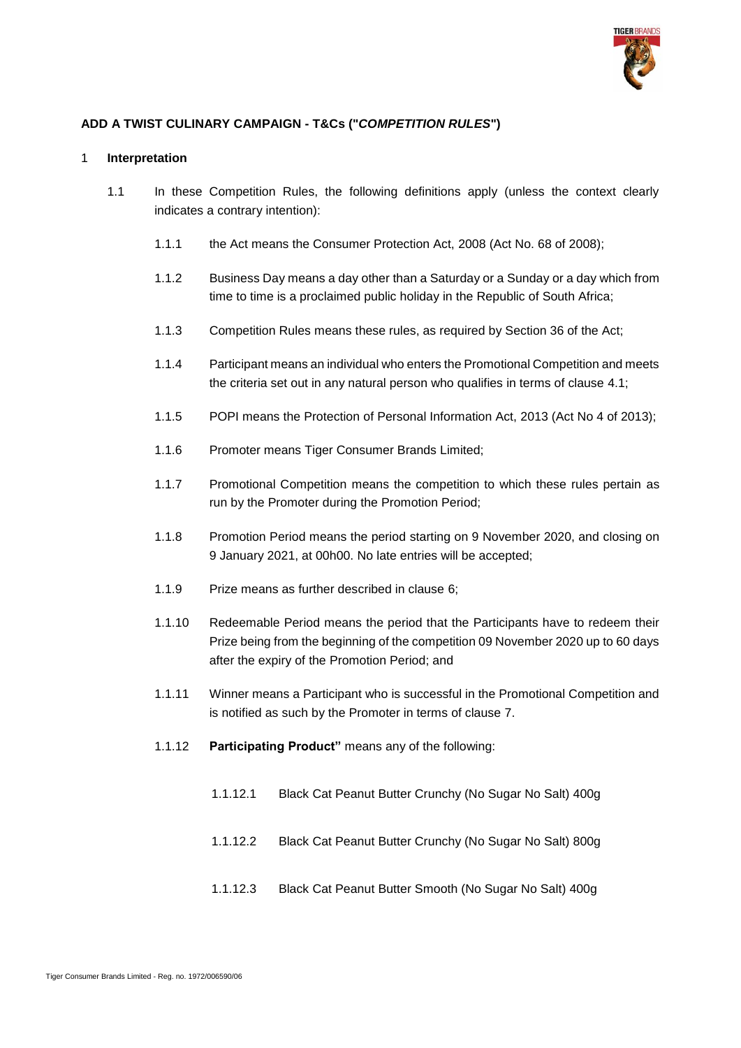

# **ADD A TWIST CULINARY CAMPAIGN - T&Cs ("***COMPETITION RULES***")**

### 1 **Interpretation**

- 1.1 In these Competition Rules, the following definitions apply (unless the context clearly indicates a contrary intention):
	- 1.1.1 the Act means the Consumer Protection Act, 2008 (Act No. 68 of 2008);
	- 1.1.2 Business Day means a day other than a Saturday or a Sunday or a day which from time to time is a proclaimed public holiday in the Republic of South Africa;
	- 1.1.3 Competition Rules means these rules, as required by Section 36 of the Act;
	- 1.1.4 Participant means an individual who enters the Promotional Competition and meets the criteria set out in any natural person who qualifies in terms of clause [4.1;](#page-5-0)
	- 1.1.5 POPI means the Protection of Personal Information Act, 2013 (Act No 4 of 2013);
	- 1.1.6 Promoter means Tiger Consumer Brands Limited;
	- 1.1.7 Promotional Competition means the competition to which these rules pertain as run by the Promoter during the Promotion Period;
	- 1.1.8 Promotion Period means the period starting on 9 November 2020, and closing on 9 January 2021, at 00h00. No late entries will be accepted;
	- 1.1.9 Prize means as further described in clause [6;](#page-6-0)
	- 1.1.10 Redeemable Period means the period that the Participants have to redeem their Prize being from the beginning of the competition 09 November 2020 up to 60 days after the expiry of the Promotion Period; and
	- 1.1.11 Winner means a Participant who is successful in the Promotional Competition and is notified as such by the Promoter in terms of clause [7.](#page-6-1)
	- 1.1.12 **Participating Product"** means any of the following:
		- 1.1.12.1 Black Cat Peanut Butter Crunchy (No Sugar No Salt) 400g
		- 1.1.12.2 Black Cat Peanut Butter Crunchy (No Sugar No Salt) 800g
		- 1.1.12.3 Black Cat Peanut Butter Smooth (No Sugar No Salt) 400g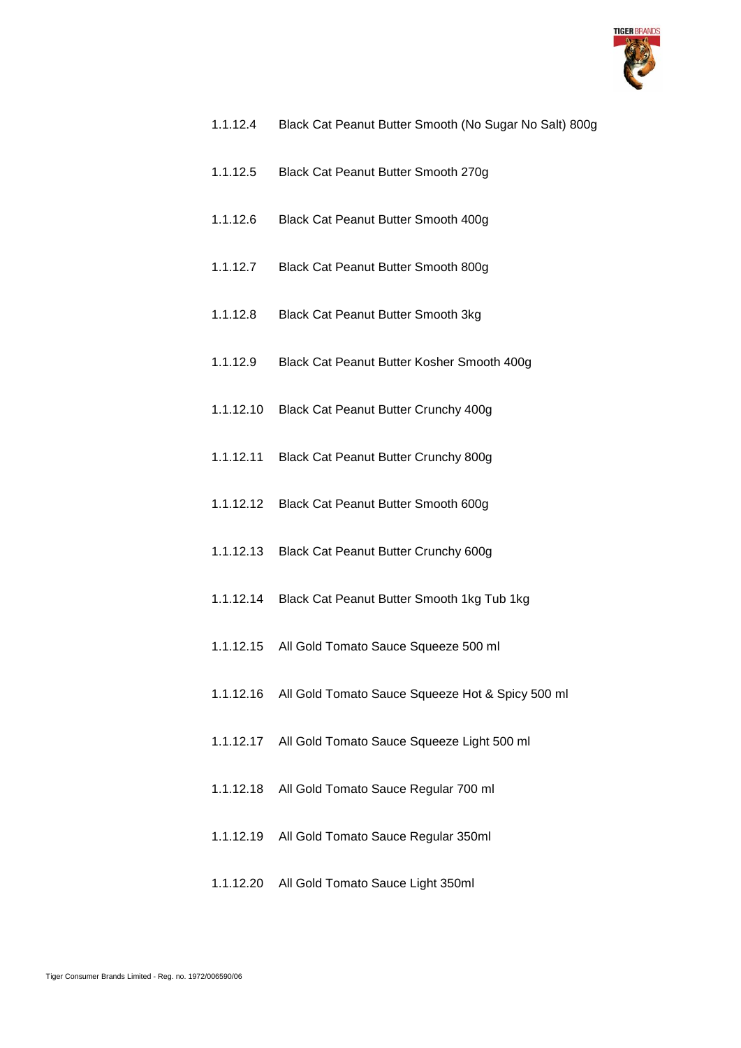

- 1.1.12.4 Black Cat Peanut Butter Smooth (No Sugar No Salt) 800g
- 1.1.12.5 Black Cat Peanut Butter Smooth 270g
- 1.1.12.6 Black Cat Peanut Butter Smooth 400g
- 1.1.12.7 Black Cat Peanut Butter Smooth 800g
- 1.1.12.8 Black Cat Peanut Butter Smooth 3kg
- 1.1.12.9 Black Cat Peanut Butter Kosher Smooth 400g
- 1.1.12.10 Black Cat Peanut Butter Crunchy 400g
- 1.1.12.11 Black Cat Peanut Butter Crunchy 800g
- 1.1.12.12 Black Cat Peanut Butter Smooth 600g
- 1.1.12.13 Black Cat Peanut Butter Crunchy 600g
- 1.1.12.14 Black Cat Peanut Butter Smooth 1kg Tub 1kg
- 1.1.12.15 All Gold Tomato Sauce Squeeze 500 ml
- 1.1.12.16 All Gold Tomato Sauce Squeeze Hot & Spicy 500 ml
- 1.1.12.17 All Gold Tomato Sauce Squeeze Light 500 ml
- 1.1.12.18 All Gold Tomato Sauce Regular 700 ml
- 1.1.12.19 All Gold Tomato Sauce Regular 350ml
- 1.1.12.20 All Gold Tomato Sauce Light 350ml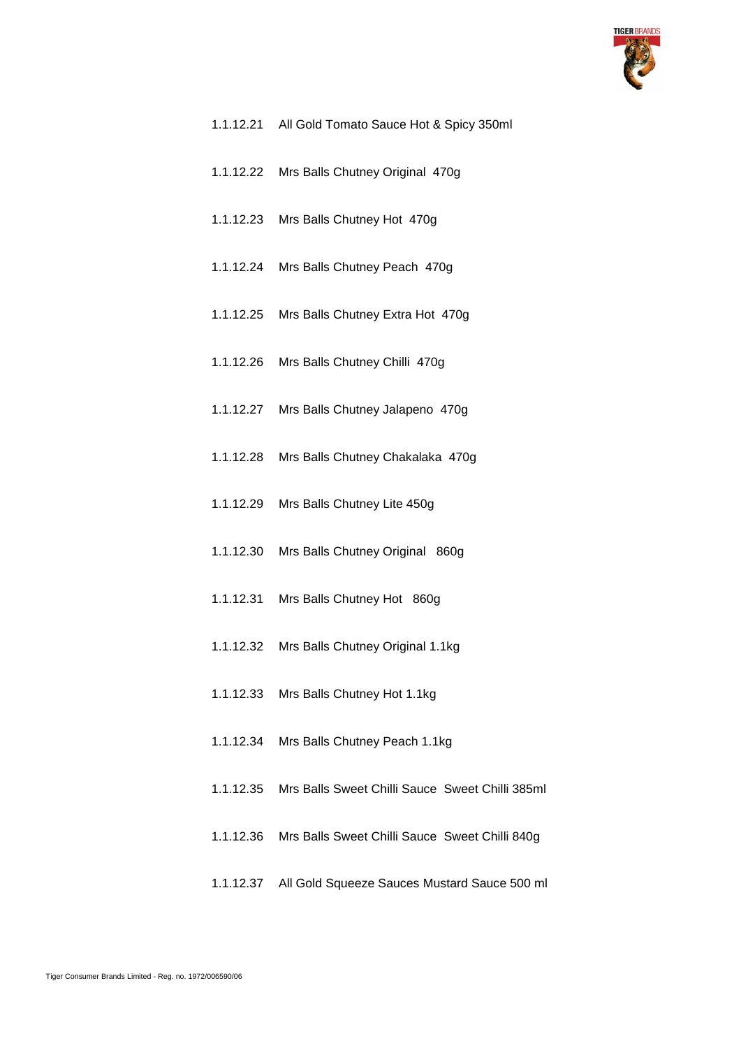

| 1.1.12.21 All Gold Tomato Sauce Hot & Spicy 350ml         |
|-----------------------------------------------------------|
| 1.1.12.22 Mrs Balls Chutney Original 470g                 |
| 1.1.12.23 Mrs Balls Chutney Hot 470g                      |
| 1.1.12.24 Mrs Balls Chutney Peach 470g                    |
| 1.1.12.25 Mrs Balls Chutney Extra Hot 470g                |
| 1.1.12.26 Mrs Balls Chutney Chilli 470g                   |
| 1.1.12.27 Mrs Balls Chutney Jalapeno 470g                 |
| 1.1.12.28 Mrs Balls Chutney Chakalaka 470g                |
| 1.1.12.29 Mrs Balls Chutney Lite 450g                     |
| 1.1.12.30 Mrs Balls Chutney Original 860g                 |
| 1.1.12.31 Mrs Balls Chutney Hot 860g                      |
| 1.1.12.32 Mrs Balls Chutney Original 1.1kg                |
| 1.1.12.33 Mrs Balls Chutney Hot 1.1kg                     |
| 1.1.12.34 Mrs Balls Chutney Peach 1.1kg                   |
| 1.1.12.35 Mrs Balls Sweet Chilli Sauce Sweet Chilli 385ml |
| 1.1.12.36 Mrs Balls Sweet Chilli Sauce Sweet Chilli 840g  |

1.1.12.37 All Gold Squeeze Sauces Mustard Sauce 500 ml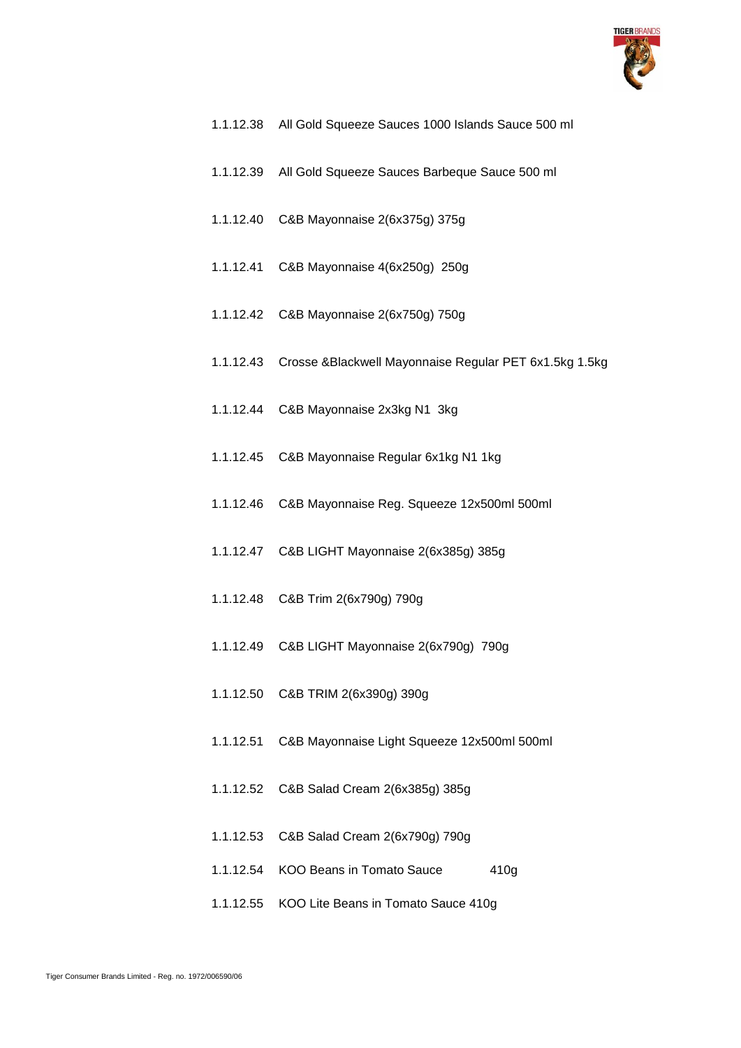

- 1.1.12.38 All Gold Squeeze Sauces 1000 Islands Sauce 500 ml
- 1.1.12.39 All Gold Squeeze Sauces Barbeque Sauce 500 ml
- 1.1.12.40 C&B Mayonnaise 2(6x375g) 375g
- 1.1.12.41 C&B Mayonnaise 4(6x250g) 250g
- 1.1.12.42 C&B Mayonnaise 2(6x750g) 750g
- 1.1.12.43 Crosse &Blackwell Mayonnaise Regular PET 6x1.5kg 1.5kg
- 1.1.12.44 C&B Mayonnaise 2x3kg N1 3kg
- 1.1.12.45 C&B Mayonnaise Regular 6x1kg N1 1kg
- 1.1.12.46 C&B Mayonnaise Reg. Squeeze 12x500ml 500ml
- 1.1.12.47 C&B LIGHT Mayonnaise 2(6x385g) 385g
- 1.1.12.48 C&B Trim 2(6x790g) 790g
- 1.1.12.49 C&B LIGHT Mayonnaise 2(6x790g) 790g
- 1.1.12.50 C&B TRIM 2(6x390g) 390g
- 1.1.12.51 C&B Mayonnaise Light Squeeze 12x500ml 500ml
- 1.1.12.52 C&B Salad Cream 2(6x385g) 385g
- 1.1.12.53 C&B Salad Cream 2(6x790g) 790g
- 1.1.12.54 KOO Beans in Tomato Sauce 410g
- 1.1.12.55 KOO Lite Beans in Tomato Sauce 410g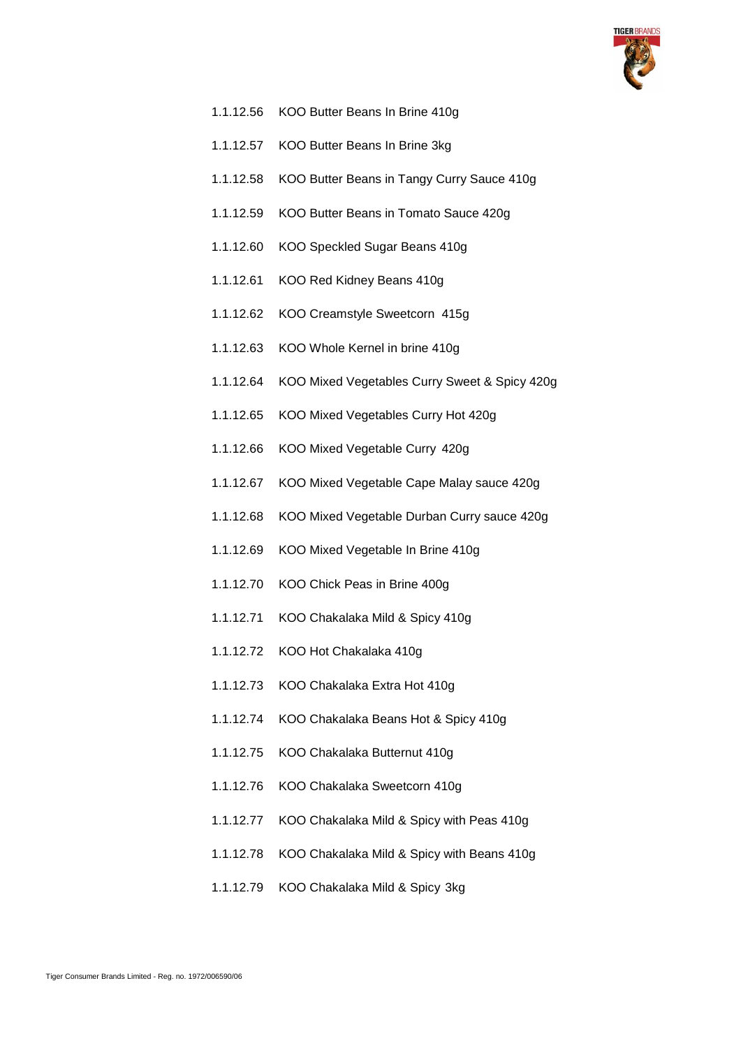

- 1.1.12.56 KOO Butter Beans In Brine 410g
- 1.1.12.57 KOO Butter Beans In Brine 3kg
- 1.1.12.58 KOO Butter Beans in Tangy Curry Sauce 410g
- 1.1.12.59 KOO Butter Beans in Tomato Sauce 420g
- 1.1.12.60 KOO Speckled Sugar Beans 410g
- 1.1.12.61 KOO Red Kidney Beans 410g
- 1.1.12.62 KOO Creamstyle Sweetcorn 415g
- 1.1.12.63 KOO Whole Kernel in brine 410g
- 1.1.12.64 KOO Mixed Vegetables Curry Sweet & Spicy 420g
- 1.1.12.65 KOO Mixed Vegetables Curry Hot 420g
- 1.1.12.66 KOO Mixed Vegetable Curry 420g
- 1.1.12.67 KOO Mixed Vegetable Cape Malay sauce 420g
- 1.1.12.68 KOO Mixed Vegetable Durban Curry sauce 420g
- 1.1.12.69 KOO Mixed Vegetable In Brine 410g
- 1.1.12.70 KOO Chick Peas in Brine 400g
- 1.1.12.71 KOO Chakalaka Mild & Spicy 410g
- 1.1.12.72 KOO Hot Chakalaka 410g
- 1.1.12.73 KOO Chakalaka Extra Hot 410g
- 1.1.12.74 KOO Chakalaka Beans Hot & Spicy 410g
- 1.1.12.75 KOO Chakalaka Butternut 410g
- 1.1.12.76 KOO Chakalaka Sweetcorn 410g
- 1.1.12.77 KOO Chakalaka Mild & Spicy with Peas 410g
- 1.1.12.78 KOO Chakalaka Mild & Spicy with Beans 410g
- 1.1.12.79 KOO Chakalaka Mild & Spicy 3kg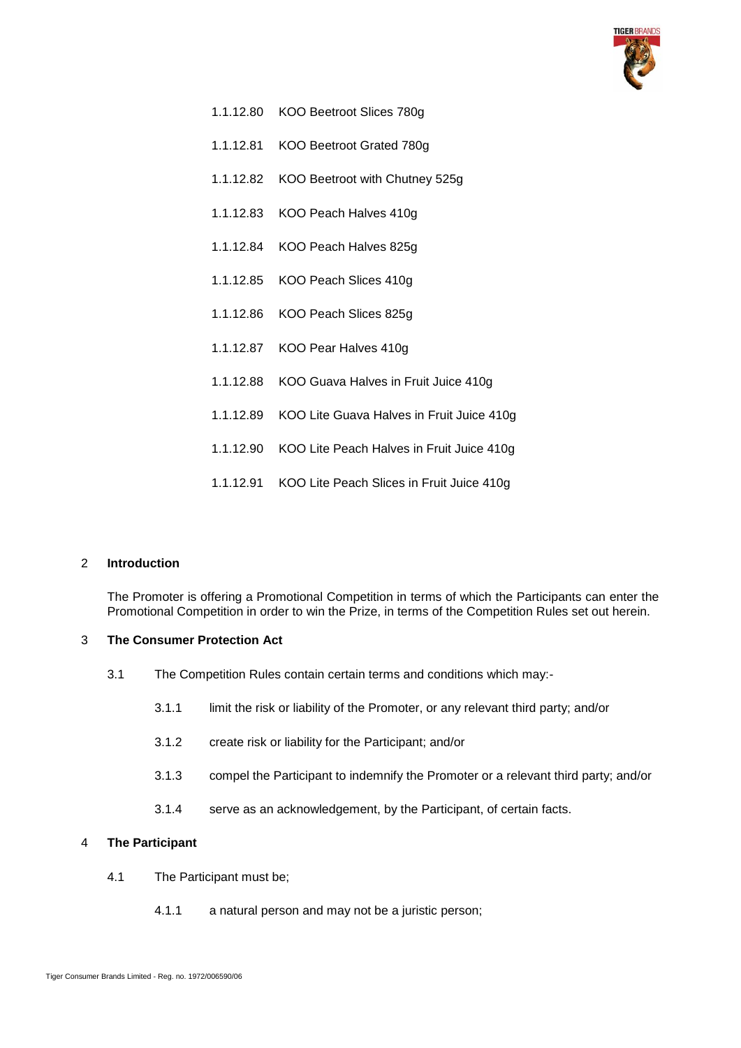

- 1.1.12.80 KOO Beetroot Slices 780g
- 1.1.12.81 KOO Beetroot Grated 780g
- 1.1.12.82 KOO Beetroot with Chutney 525g
- 1.1.12.83 KOO Peach Halves 410g
- 1.1.12.84 KOO Peach Halves 825g
- 1.1.12.85 KOO Peach Slices 410g
- 1.1.12.86 KOO Peach Slices 825g
- 1.1.12.87 KOO Pear Halves 410g
- 1.1.12.88 KOO Guava Halves in Fruit Juice 410g
- 1.1.12.89 KOO Lite Guava Halves in Fruit Juice 410g
- 1.1.12.90 KOO Lite Peach Halves in Fruit Juice 410g
- 1.1.12.91 KOO Lite Peach Slices in Fruit Juice 410g

#### 2 **Introduction**

The Promoter is offering a Promotional Competition in terms of which the Participants can enter the Promotional Competition in order to win the Prize, in terms of the Competition Rules set out herein.

#### 3 **The Consumer Protection Act**

- 3.1 The Competition Rules contain certain terms and conditions which may:-
	- 3.1.1 limit the risk or liability of the Promoter, or any relevant third party; and/or
	- 3.1.2 create risk or liability for the Participant; and/or
	- 3.1.3 compel the Participant to indemnify the Promoter or a relevant third party; and/or
	- 3.1.4 serve as an acknowledgement, by the Participant, of certain facts.

### <span id="page-5-0"></span>4 **The Participant**

- 4.1 The Participant must be;
	- 4.1.1 a natural person and may not be a juristic person;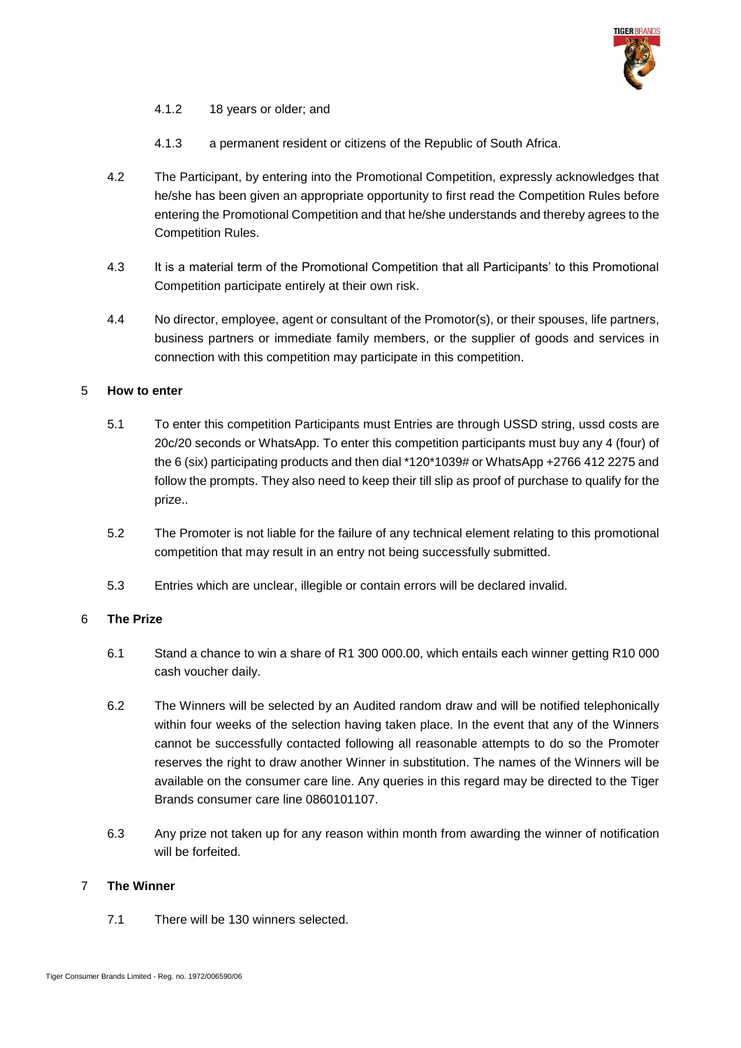

- 4.1.2 18 years or older; and
- 4.1.3 a permanent resident or citizens of the Republic of South Africa.
- 4.2 The Participant, by entering into the Promotional Competition, expressly acknowledges that he/she has been given an appropriate opportunity to first read the Competition Rules before entering the Promotional Competition and that he/she understands and thereby agrees to the Competition Rules.
- 4.3 It is a material term of the Promotional Competition that all Participants' to this Promotional Competition participate entirely at their own risk.
- 4.4 No director, employee, agent or consultant of the Promotor(s), or their spouses, life partners, business partners or immediate family members, or the supplier of goods and services in connection with this competition may participate in this competition.

### 5 **How to enter**

- 5.1 To enter this competition Participants must Entries are through USSD string, ussd costs are 20c/20 seconds or WhatsApp. To enter this competition participants must buy any 4 (four) of the 6 (six) participating products and then dial \*120\*1039# or WhatsApp +2766 412 2275 and follow the prompts. They also need to keep their till slip as proof of purchase to qualify for the prize..
- 5.2 The Promoter is not liable for the failure of any technical element relating to this promotional competition that may result in an entry not being successfully submitted.
- 5.3 Entries which are unclear, illegible or contain errors will be declared invalid.

# <span id="page-6-0"></span>6 **The Prize**

- 6.1 Stand a chance to win a share of R1 300 000.00, which entails each winner getting R10 000 cash voucher daily.
- 6.2 The Winners will be selected by an Audited random draw and will be notified telephonically within four weeks of the selection having taken place. In the event that any of the Winners cannot be successfully contacted following all reasonable attempts to do so the Promoter reserves the right to draw another Winner in substitution. The names of the Winners will be available on the consumer care line. Any queries in this regard may be directed to the Tiger Brands consumer care line 0860101107.
- 6.3 Any prize not taken up for any reason within month from awarding the winner of notification will be forfeited.

### <span id="page-6-1"></span>7 **The Winner**

7.1 There will be 130 winners selected.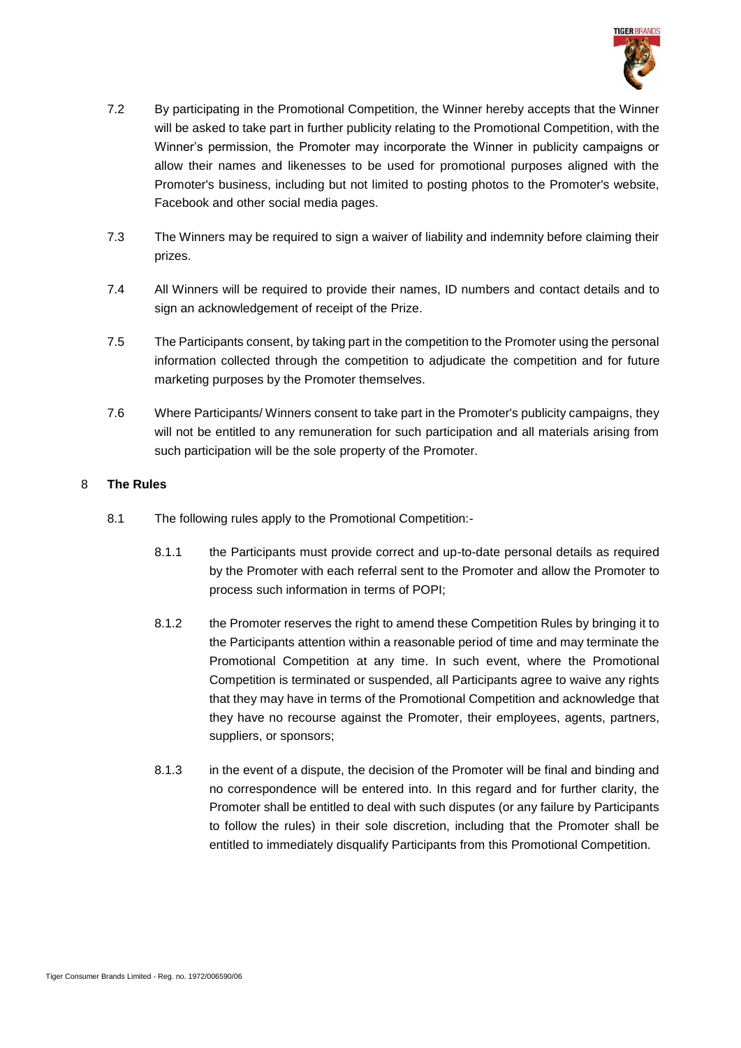

- 7.2 By participating in the Promotional Competition, the Winner hereby accepts that the Winner will be asked to take part in further publicity relating to the Promotional Competition, with the Winner's permission, the Promoter may incorporate the Winner in publicity campaigns or allow their names and likenesses to be used for promotional purposes aligned with the Promoter's business, including but not limited to posting photos to the Promoter's website, Facebook and other social media pages.
- 7.3 The Winners may be required to sign a waiver of liability and indemnity before claiming their prizes.
- 7.4 All Winners will be required to provide their names, ID numbers and contact details and to sign an acknowledgement of receipt of the Prize.
- 7.5 The Participants consent, by taking part in the competition to the Promoter using the personal information collected through the competition to adjudicate the competition and for future marketing purposes by the Promoter themselves.
- 7.6 Where Participants/ Winners consent to take part in the Promoter's publicity campaigns, they will not be entitled to any remuneration for such participation and all materials arising from such participation will be the sole property of the Promoter.

# 8 **The Rules**

- 8.1 The following rules apply to the Promotional Competition:-
	- 8.1.1 the Participants must provide correct and up-to-date personal details as required by the Promoter with each referral sent to the Promoter and allow the Promoter to process such information in terms of POPI;
	- 8.1.2 the Promoter reserves the right to amend these Competition Rules by bringing it to the Participants attention within a reasonable period of time and may terminate the Promotional Competition at any time. In such event, where the Promotional Competition is terminated or suspended, all Participants agree to waive any rights that they may have in terms of the Promotional Competition and acknowledge that they have no recourse against the Promoter, their employees, agents, partners, suppliers, or sponsors;
	- 8.1.3 in the event of a dispute, the decision of the Promoter will be final and binding and no correspondence will be entered into. In this regard and for further clarity, the Promoter shall be entitled to deal with such disputes (or any failure by Participants to follow the rules) in their sole discretion, including that the Promoter shall be entitled to immediately disqualify Participants from this Promotional Competition.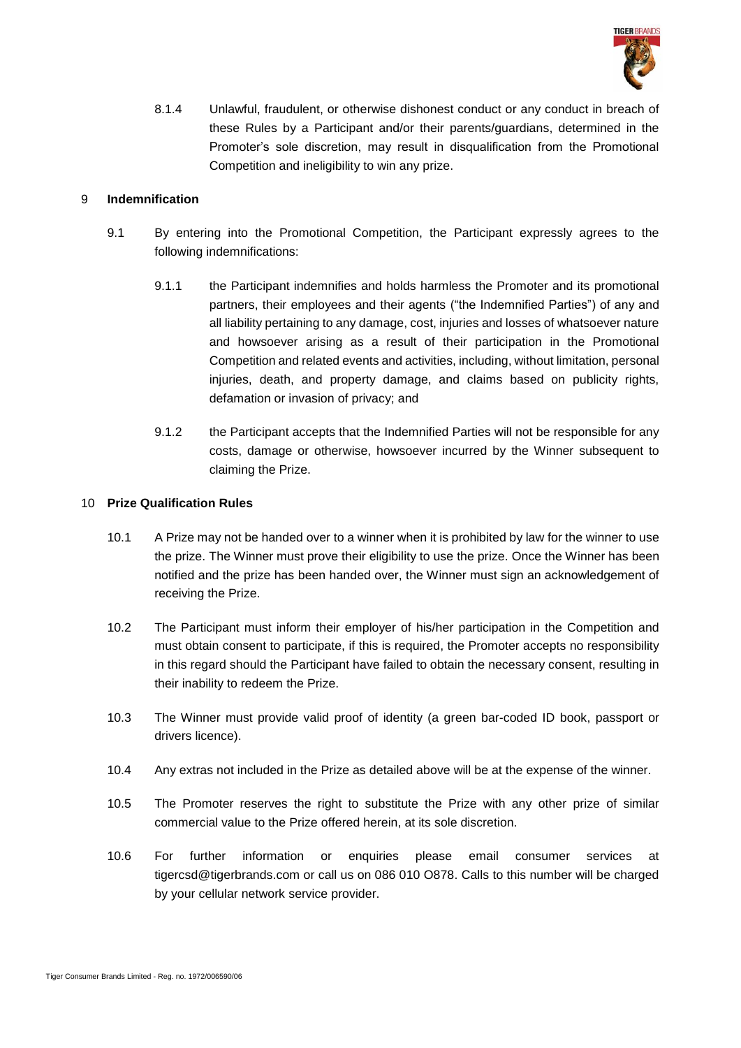

8.1.4 Unlawful, fraudulent, or otherwise dishonest conduct or any conduct in breach of these Rules by a Participant and/or their parents/guardians, determined in the Promoter's sole discretion, may result in disqualification from the Promotional Competition and ineligibility to win any prize.

# 9 **Indemnification**

- 9.1 By entering into the Promotional Competition, the Participant expressly agrees to the following indemnifications:
	- 9.1.1 the Participant indemnifies and holds harmless the Promoter and its promotional partners, their employees and their agents ("the Indemnified Parties") of any and all liability pertaining to any damage, cost, injuries and losses of whatsoever nature and howsoever arising as a result of their participation in the Promotional Competition and related events and activities, including, without limitation, personal injuries, death, and property damage, and claims based on publicity rights, defamation or invasion of privacy; and
	- 9.1.2 the Participant accepts that the Indemnified Parties will not be responsible for any costs, damage or otherwise, howsoever incurred by the Winner subsequent to claiming the Prize.

### 10 **Prize Qualification Rules**

- 10.1 A Prize may not be handed over to a winner when it is prohibited by law for the winner to use the prize. The Winner must prove their eligibility to use the prize. Once the Winner has been notified and the prize has been handed over, the Winner must sign an acknowledgement of receiving the Prize.
- 10.2 The Participant must inform their employer of his/her participation in the Competition and must obtain consent to participate, if this is required, the Promoter accepts no responsibility in this regard should the Participant have failed to obtain the necessary consent, resulting in their inability to redeem the Prize.
- 10.3 The Winner must provide valid proof of identity (a green bar-coded ID book, passport or drivers licence).
- 10.4 Any extras not included in the Prize as detailed above will be at the expense of the winner.
- 10.5 The Promoter reserves the right to substitute the Prize with any other prize of similar commercial value to the Prize offered herein, at its sole discretion.
- 10.6 For further information or enquiries please email consumer services at tigercsd@tigerbrands.com or call us on 086 010 O878. Calls to this number will be charged by your cellular network service provider.